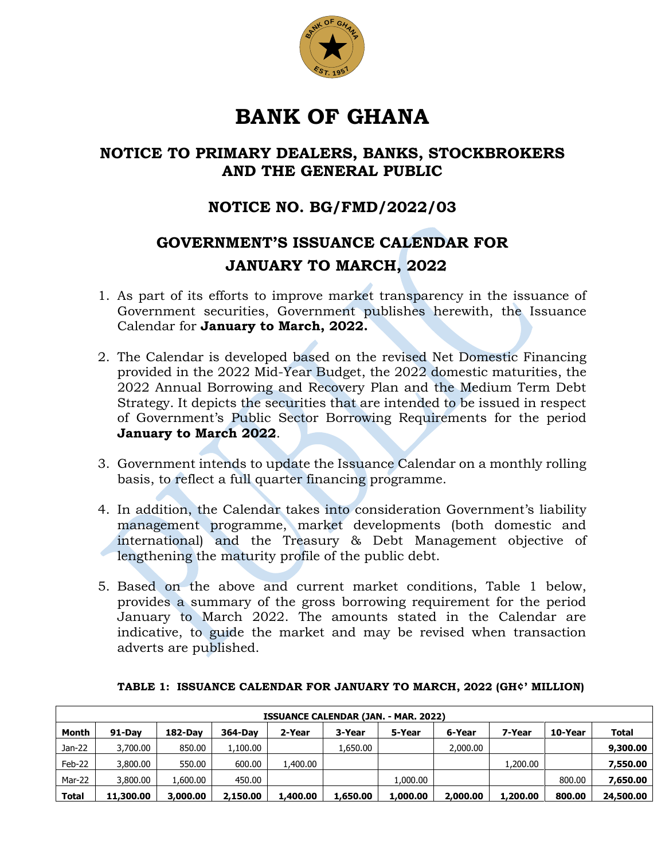

## **BANK OF GHANA**

## **NOTICE TO PRIMARY DEALERS, BANKS, STOCKBROKERS AND THE GENERAL PUBLIC**

## **NOTICE NO. BG/FMD/2022/03**

## **GOVERNMENT'S ISSUANCE CALENDAR FOR JANUARY TO MARCH, 2022**

- 1. As part of its efforts to improve market transparency in the issuance of Government securities, Government publishes herewith, the Issuance Calendar for **January to March, 2022.**
- 2. The Calendar is developed based on the revised Net Domestic Financing provided in the 2022 Mid-Year Budget, the 2022 domestic maturities, the 2022 Annual Borrowing and Recovery Plan and the Medium Term Debt Strategy. It depicts the securities that are intended to be issued in respect of Government's Public Sector Borrowing Requirements for the period **January to March 2022**.
- 3. Government intends to update the Issuance Calendar on a monthly rolling basis, to reflect a full quarter financing programme.
- 4. In addition, the Calendar takes into consideration Government's liability management programme, market developments (both domestic and international) and the Treasury & Debt Management objective of lengthening the maturity profile of the public debt.
- 5. Based on the above and current market conditions, Table 1 below, provides a summary of the gross borrowing requirement for the period January to March 2022. The amounts stated in the Calendar are indicative, to guide the market and may be revised when transaction adverts are published.

| <b>ISSUANCE CALENDAR (JAN. - MAR. 2022)</b> |           |          |          |          |          |          |          |          |         |              |  |
|---------------------------------------------|-----------|----------|----------|----------|----------|----------|----------|----------|---------|--------------|--|
| Month                                       | 91-Dav    | 182-Dav  | 364-Day  | 2-Year   | 3-Year   | 5-Year   | 6-Year   | 7-Year   | 10-Year | <b>Total</b> |  |
| Jan-22                                      | 3,700.00  | 850.00   | 1,100.00 |          | 1,650.00 |          | 2,000.00 |          |         | 9,300.00     |  |
| Feb-22                                      | 3,800.00  | 550.00   | 600.00   | 1,400.00 |          |          |          | 1,200.00 |         | 7,550.00     |  |
| Mar-22                                      | 3,800,00  | 1.600.00 | 450.00   |          |          | 1,000.00 |          |          | 800.00  | 7,650.00     |  |
| Total                                       | 11,300.00 | 3,000.00 | 2,150.00 | 1,400.00 | 1,650.00 | 1,000.00 | 2,000.00 | 1,200.00 | 800.00  | 24,500.00    |  |

|  |  |  | TABLE 1: ISSUANCE CALENDAR FOR JANUARY TO MARCH, 2022 (GH¢' MILLION) |
|--|--|--|----------------------------------------------------------------------|
|--|--|--|----------------------------------------------------------------------|